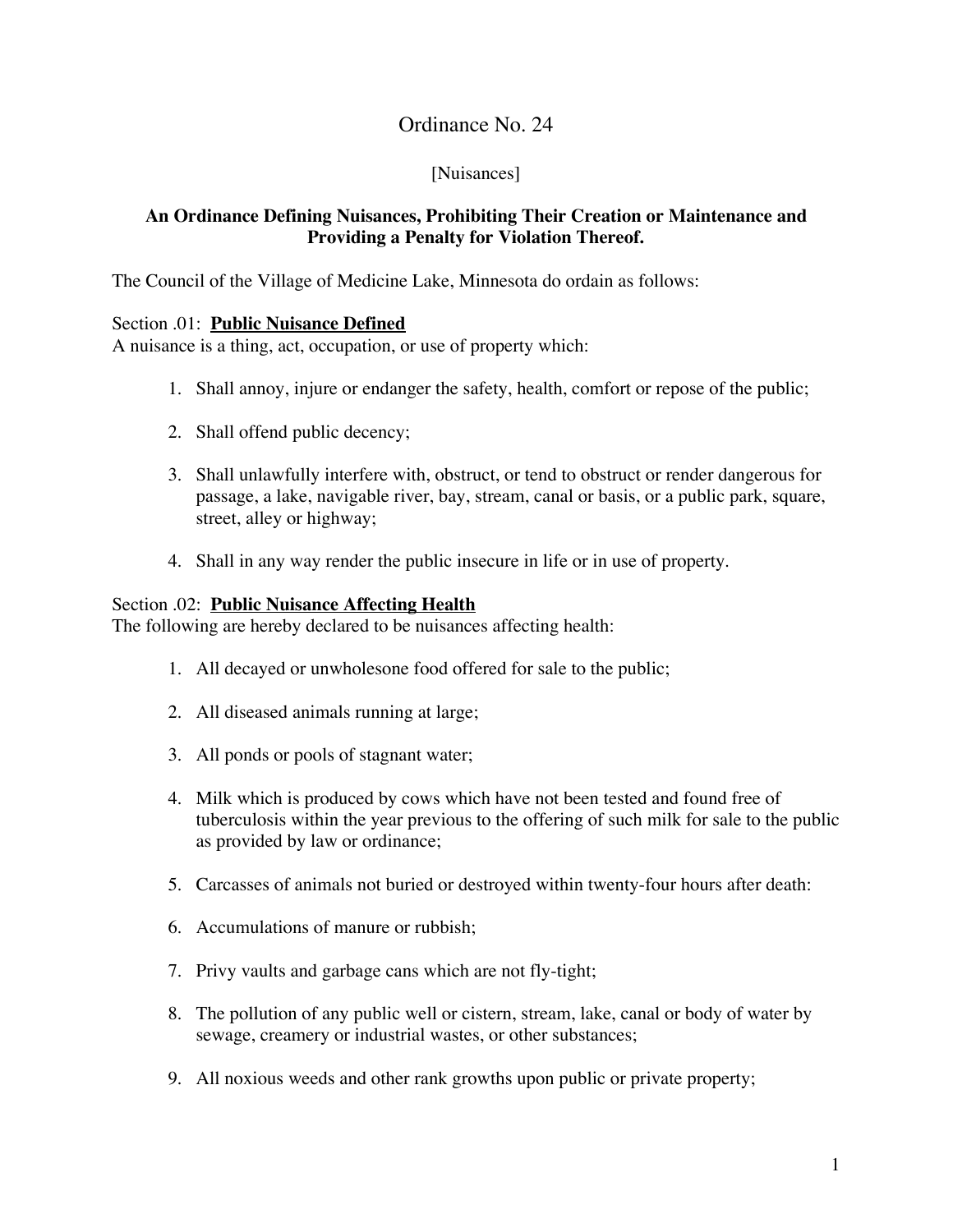## Ordinance No. 24

## [Nuisances]

## **An Ordinance Defining Nuisances, Prohibiting Their Creation or Maintenance and Providing a Penalty for Violation Thereof.**

The Council of the Village of Medicine Lake, Minnesota do ordain as follows:

## Section .01: **Public Nuisance Defined**

A nuisance is a thing, act, occupation, or use of property which:

- 1. Shall annoy, injure or endanger the safety, health, comfort or repose of the public;
- 2. Shall offend public decency;
- 3. Shall unlawfully interfere with, obstruct, or tend to obstruct or render dangerous for passage, a lake, navigable river, bay, stream, canal or basis, or a public park, square, street, alley or highway;
- 4. Shall in any way render the public insecure in life or in use of property.

#### Section .02: **Public Nuisance Affecting Health**

The following are hereby declared to be nuisances affecting health:

- 1. All decayed or unwholesone food offered for sale to the public;
- 2. All diseased animals running at large;
- 3. All ponds or pools of stagnant water;
- 4. Milk which is produced by cows which have not been tested and found free of tuberculosis within the year previous to the offering of such milk for sale to the public as provided by law or ordinance;
- 5. Carcasses of animals not buried or destroyed within twenty-four hours after death:
- 6. Accumulations of manure or rubbish;
- 7. Privy vaults and garbage cans which are not fly-tight;
- 8. The pollution of any public well or cistern, stream, lake, canal or body of water by sewage, creamery or industrial wastes, or other substances;
- 9. All noxious weeds and other rank growths upon public or private property;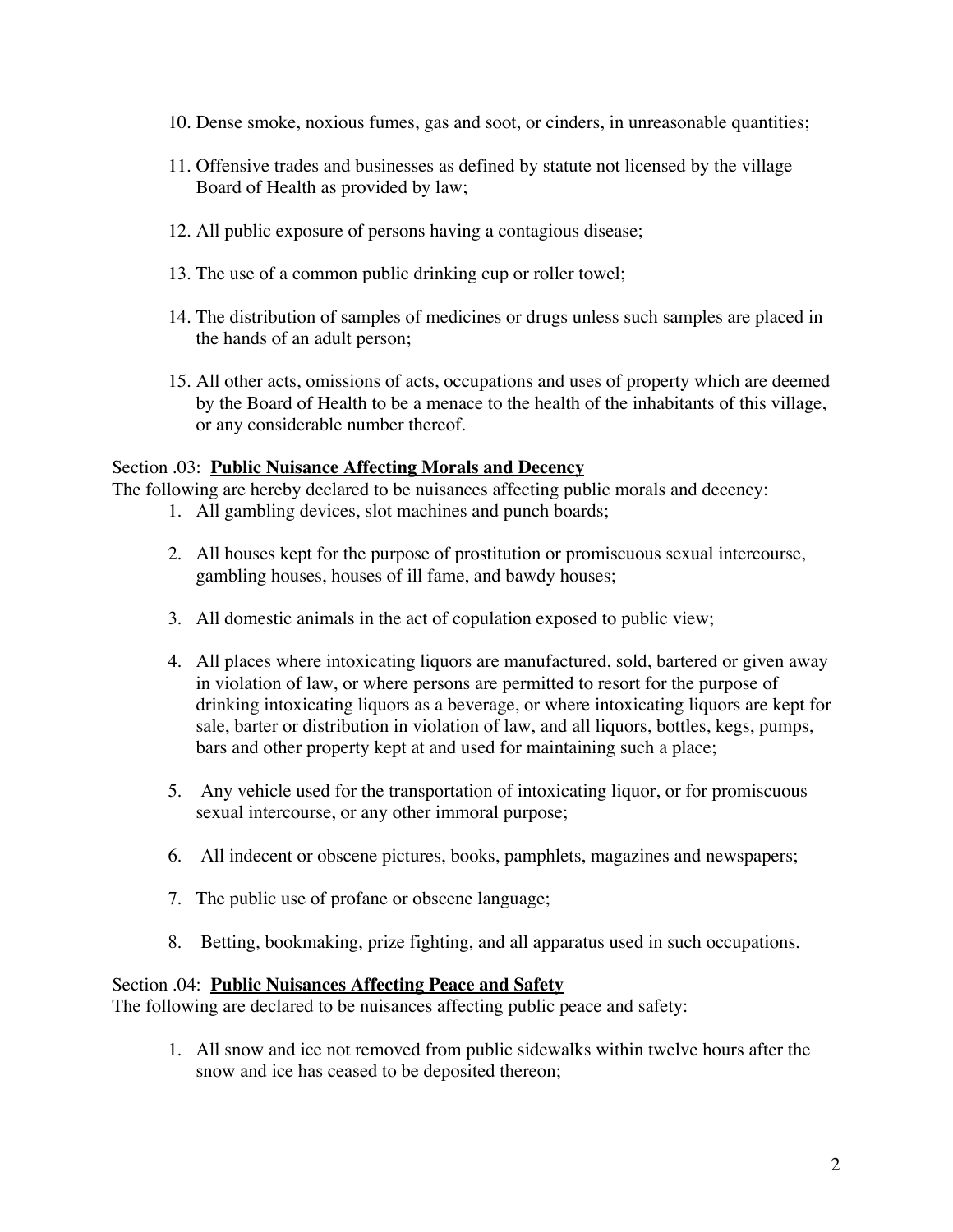- 10. Dense smoke, noxious fumes, gas and soot, or cinders, in unreasonable quantities;
- 11. Offensive trades and businesses as defined by statute not licensed by the village Board of Health as provided by law;
- 12. All public exposure of persons having a contagious disease;
- 13. The use of a common public drinking cup or roller towel;
- 14. The distribution of samples of medicines or drugs unless such samples are placed in the hands of an adult person;
- 15. All other acts, omissions of acts, occupations and uses of property which are deemed by the Board of Health to be a menace to the health of the inhabitants of this village, or any considerable number thereof.

#### Section .03: **Public Nuisance Affecting Morals and Decency**

The following are hereby declared to be nuisances affecting public morals and decency:

- 1. All gambling devices, slot machines and punch boards;
- 2. All houses kept for the purpose of prostitution or promiscuous sexual intercourse, gambling houses, houses of ill fame, and bawdy houses;
- 3. All domestic animals in the act of copulation exposed to public view;
- 4. All places where intoxicating liquors are manufactured, sold, bartered or given away in violation of law, or where persons are permitted to resort for the purpose of drinking intoxicating liquors as a beverage, or where intoxicating liquors are kept for sale, barter or distribution in violation of law, and all liquors, bottles, kegs, pumps, bars and other property kept at and used for maintaining such a place;
- 5. Any vehicle used for the transportation of intoxicating liquor, or for promiscuous sexual intercourse, or any other immoral purpose;
- 6. All indecent or obscene pictures, books, pamphlets, magazines and newspapers;
- 7. The public use of profane or obscene language;
- 8. Betting, bookmaking, prize fighting, and all apparatus used in such occupations.

#### Section .04: **Public Nuisances Affecting Peace and Safety**

The following are declared to be nuisances affecting public peace and safety:

1. All snow and ice not removed from public sidewalks within twelve hours after the snow and ice has ceased to be deposited thereon;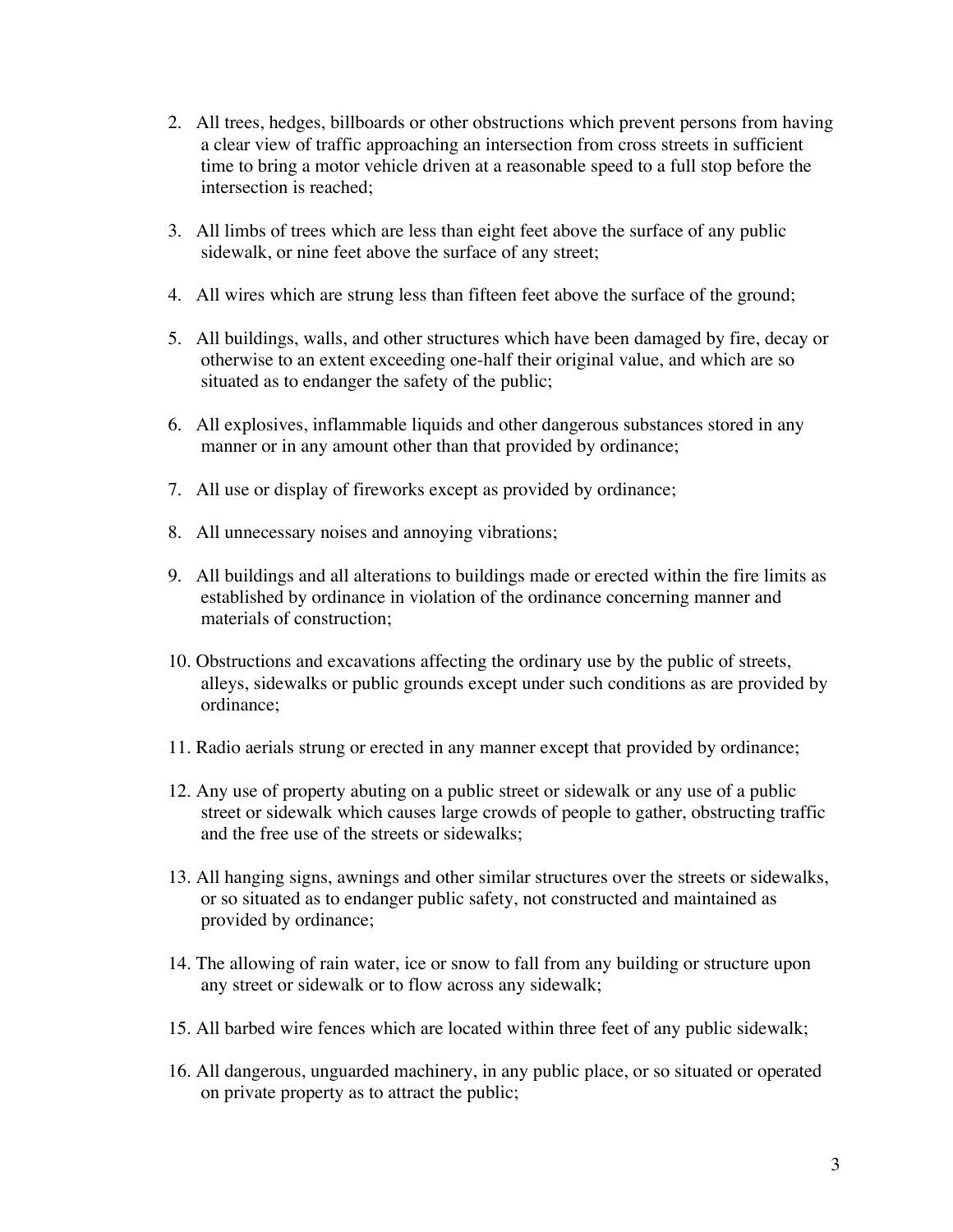- 2. All trees, hedges, billboards or other obstructions which prevent persons from having a clear view of traffic approaching an intersection from cross streets in sufficient time to bring a motor vehicle driven at a reasonable speed to a full stop before the intersection is reached;
- 3. All limbs of trees which are less than eight feet above the surface of any public sidewalk, or nine feet above the surface of any street;
- 4. All wires which are strung less than fifteen feet above the surface of the ground;
- 5. All buildings, walls, and other structures which have been damaged by fire, decay or otherwise to an extent exceeding one-half their original value, and which are so situated as to endanger the safety of the public;
- 6. All explosives, inflammable liquids and other dangerous substances stored in any manner or in any amount other than that provided by ordinance;
- 7. All use or display of fireworks except as provided by ordinance;
- 8. All unnecessary noises and annoying vibrations;
- 9. All buildings and all alterations to buildings made or erected within the fire limits as established by ordinance in violation of the ordinance concerning manner and materials of construction;
- 10. Obstructions and excavations affecting the ordinary use by the public of streets, alleys, sidewalks or public grounds except under such conditions as are provided by ordinance;
- 11. Radio aerials strung or erected in any manner except that provided by ordinance;
- 12. Any use of property abuting on a public street or sidewalk or any use of a public street or sidewalk which causes large crowds of people to gather, obstructing traffic and the free use of the streets or sidewalks;
- 13. All hanging signs, awnings and other similar structures over the streets or sidewalks, or so situated as to endanger public safety, not constructed and maintained as provided by ordinance;
- 14. The allowing of rain water, ice or snow to fall from any building or structure upon any street or sidewalk or to flow across any sidewalk;
- 15. All barbed wire fences which are located within three feet of any public sidewalk;
- 16. All dangerous, unguarded machinery, in any public place, or so situated or operated on private property as to attract the public;